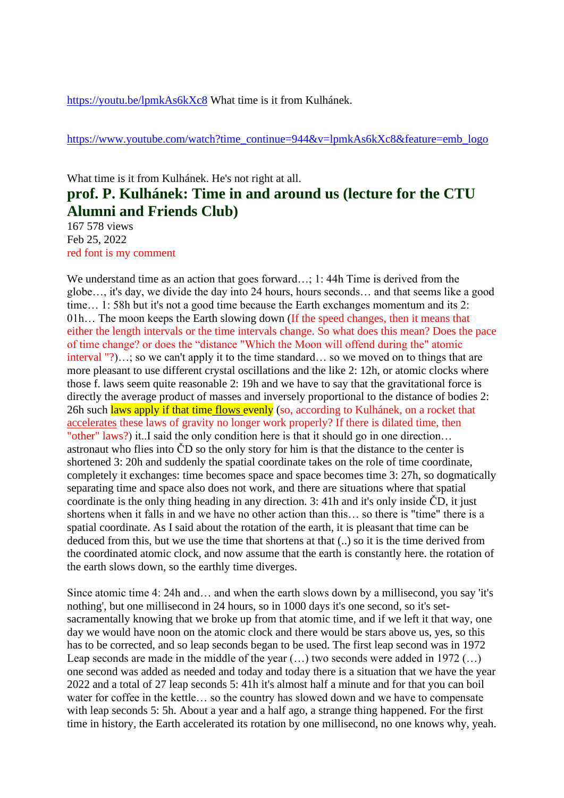<https://youtu.be/lpmkAs6kXc8> What time is it from Kulhánek.

https://www.youtube.com/watch?time\_continue=944&v=lpmkAs6kXc8&feature=emb\_logo

## What time is it from Kulhánek. He's not right at all. **prof. P. Kulhánek: Time in and around us (lecture for the CTU Alumni and Friends Club)**

167 578 views Feb 25, 2022 red font is my comment

We understand time as an action that goes forward...; 1:44h Time is derived from the globe…, it's day, we divide the day into 24 hours, hours seconds… and that seems like a good time… 1: 58h but it's not a good time because the Earth exchanges momentum and its 2: 01h… The moon keeps the Earth slowing down (If the speed changes, then it means that either the length intervals or the time intervals change. So what does this mean? Does the pace of time change? or does the "distance "Which the Moon will offend during the" atomic interval "?)…; so we can't apply it to the time standard… so we moved on to things that are more pleasant to use different crystal oscillations and the like 2: 12h, or atomic clocks where those f. laws seem quite reasonable 2: 19h and we have to say that the gravitational force is directly the average product of masses and inversely proportional to the distance of bodies 2: 26h such laws apply if that time flows evenly (so, according to Kulhánek, on a rocket that accelerates these laws of gravity no longer work properly? If there is dilated time, then "other" laws?) it..I said the only condition here is that it should go in one direction… astronaut who flies into ČD so the only story for him is that the distance to the center is shortened 3: 20h and suddenly the spatial coordinate takes on the role of time coordinate, completely it exchanges: time becomes space and space becomes time 3: 27h, so dogmatically separating time and space also does not work, and there are situations where that spatial coordinate is the only thing heading in any direction. 3: 41h and it's only inside ČD, it just shortens when it falls in and we have no other action than this… so there is "time" there is a spatial coordinate. As I said about the rotation of the earth, it is pleasant that time can be deduced from this, but we use the time that shortens at that (..) so it is the time derived from the coordinated atomic clock, and now assume that the earth is constantly here. the rotation of the earth slows down, so the earthly time diverges.

Since atomic time 4: 24h and… and when the earth slows down by a millisecond, you say 'it's nothing', but one millisecond in 24 hours, so in 1000 days it's one second, so it's setsacramentally knowing that we broke up from that atomic time, and if we left it that way, one day we would have noon on the atomic clock and there would be stars above us, yes, so this has to be corrected, and so leap seconds began to be used. The first leap second was in 1972 Leap seconds are made in the middle of the year  $(...)$  two seconds were added in 1972  $(...)$ one second was added as needed and today and today there is a situation that we have the year 2022 and a total of 27 leap seconds 5: 41h it's almost half a minute and for that you can boil water for coffee in the kettle… so the country has slowed down and we have to compensate with leap seconds 5: 5h. About a year and a half ago, a strange thing happened. For the first time in history, the Earth accelerated its rotation by one millisecond, no one knows why, yeah.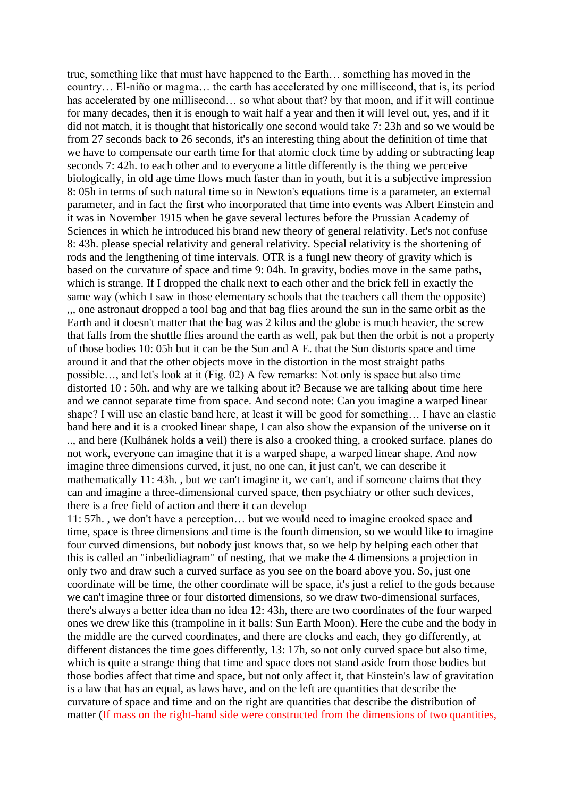true, something like that must have happened to the Earth… something has moved in the country… El-niño or magma… the earth has accelerated by one millisecond, that is, its period has accelerated by one millisecond... so what about that? by that moon, and if it will continue for many decades, then it is enough to wait half a year and then it will level out, yes, and if it did not match, it is thought that historically one second would take 7: 23h and so we would be from 27 seconds back to 26 seconds, it's an interesting thing about the definition of time that we have to compensate our earth time for that atomic clock time by adding or subtracting leap seconds 7: 42h. to each other and to everyone a little differently is the thing we perceive biologically, in old age time flows much faster than in youth, but it is a subjective impression 8: 05h in terms of such natural time so in Newton's equations time is a parameter, an external parameter, and in fact the first who incorporated that time into events was Albert Einstein and it was in November 1915 when he gave several lectures before the Prussian Academy of Sciences in which he introduced his brand new theory of general relativity. Let's not confuse 8: 43h. please special relativity and general relativity. Special relativity is the shortening of rods and the lengthening of time intervals. OTR is a fungl new theory of gravity which is based on the curvature of space and time 9: 04h. In gravity, bodies move in the same paths, which is strange. If I dropped the chalk next to each other and the brick fell in exactly the same way (which I saw in those elementary schools that the teachers call them the opposite) ,,, one astronaut dropped a tool bag and that bag flies around the sun in the same orbit as the Earth and it doesn't matter that the bag was 2 kilos and the globe is much heavier, the screw that falls from the shuttle flies around the earth as well, pak but then the orbit is not a property of those bodies 10: 05h but it can be the Sun and A E. that the Sun distorts space and time around it and that the other objects move in the distortion in the most straight paths possible…, and let's look at it (Fig. 02) A few remarks: Not only is space but also time distorted 10 : 50h. and why are we talking about it? Because we are talking about time here and we cannot separate time from space. And second note: Can you imagine a warped linear shape? I will use an elastic band here, at least it will be good for something… I have an elastic band here and it is a crooked linear shape, I can also show the expansion of the universe on it .., and here (Kulhánek holds a veil) there is also a crooked thing, a crooked surface. planes do not work, everyone can imagine that it is a warped shape, a warped linear shape. And now imagine three dimensions curved, it just, no one can, it just can't, we can describe it mathematically 11: 43h. , but we can't imagine it, we can't, and if someone claims that they can and imagine a three-dimensional curved space, then psychiatry or other such devices, there is a free field of action and there it can develop

11: 57h. , we don't have a perception… but we would need to imagine crooked space and time, space is three dimensions and time is the fourth dimension, so we would like to imagine four curved dimensions, but nobody just knows that, so we help by helping each other that this is called an "inbedidiagram" of nesting, that we make the 4 dimensions a projection in only two and draw such a curved surface as you see on the board above you. So, just one coordinate will be time, the other coordinate will be space, it's just a relief to the gods because we can't imagine three or four distorted dimensions, so we draw two-dimensional surfaces, there's always a better idea than no idea 12: 43h, there are two coordinates of the four warped ones we drew like this (trampoline in it balls: Sun Earth Moon). Here the cube and the body in the middle are the curved coordinates, and there are clocks and each, they go differently, at different distances the time goes differently, 13: 17h, so not only curved space but also time, which is quite a strange thing that time and space does not stand aside from those bodies but those bodies affect that time and space, but not only affect it, that Einstein's law of gravitation is a law that has an equal, as laws have, and on the left are quantities that describe the curvature of space and time and on the right are quantities that describe the distribution of matter (If mass on the right-hand side were constructed from the dimensions of two quantities,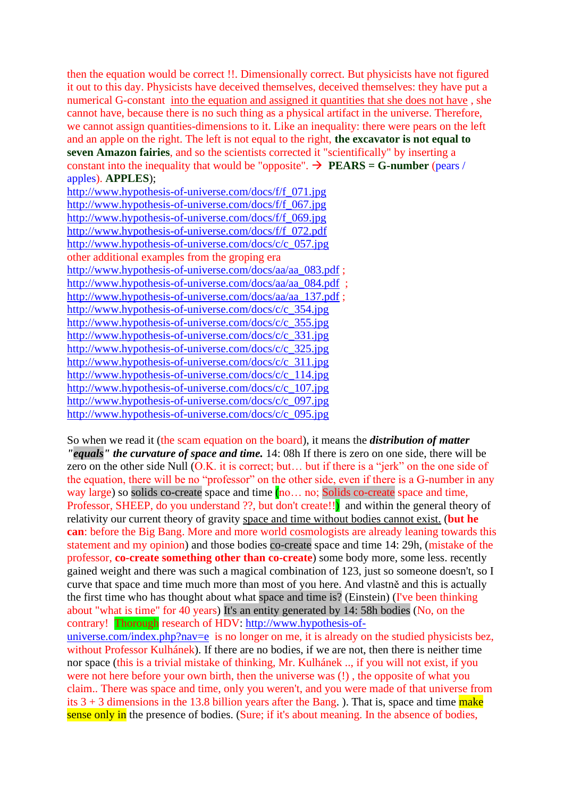then the equation would be correct !!. Dimensionally correct. But physicists have not figured it out to this day. Physicists have deceived themselves, deceived themselves: they have put a numerical G-constant into the equation and assigned it quantities that she does not have , she cannot have, because there is no such thing as a physical artifact in the universe. Therefore, we cannot assign quantities-dimensions to it. Like an inequality: there were pears on the left and an apple on the right. The left is not equal to the right, **the excavator is not equal to seven Amazon fairies**, and so the scientists corrected it "scientifically" by inserting a constant into the inequality that would be "opposite".  $\rightarrow$  **PEARS = G-number** (pears / apples). **APPLES**);

[http://www.hypothesis-of-universe.com/docs/f/f\\_071.jpg](http://www.hypothesis-of-universe.com/docs/f/f_071.jpg) [http://www.hypothesis-of-universe.com/docs/f/f\\_067.jpg](http://www.hypothesis-of-universe.com/docs/f/f_067.jpg) [http://www.hypothesis-of-universe.com/docs/f/f\\_069.jpg](http://www.hypothesis-of-universe.com/docs/f/f_069.jpg) [http://www.hypothesis-of-universe.com/docs/f/f\\_072.pdf](http://www.hypothesis-of-universe.com/docs/f/f_072.pdf) [http://www.hypothesis-of-universe.com/docs/c/c\\_057.jpg](http://www.hypothesis-of-universe.com/docs/c/c_057.jpg) other additional examples from the groping era [http://www.hypothesis-of-universe.com/docs/aa/aa\\_083.pdf](http://www.hypothesis-of-universe.com/docs/aa/aa_083.pdf) ; [http://www.hypothesis-of-universe.com/docs/aa/aa\\_084.pdf](http://www.hypothesis-of-universe.com/docs/aa/aa_084.pdf) ; [http://www.hypothesis-of-universe.com/docs/aa/aa\\_137.pdf](http://www.hypothesis-of-universe.com/docs/aa/aa_137.pdf) ; [http://www.hypothesis-of-universe.com/docs/c/c\\_354.jpg](http://www.hypothesis-of-universe.com/docs/c/c_354.jpg) [http://www.hypothesis-of-universe.com/docs/c/c\\_355.jpg](http://www.hypothesis-of-universe.com/docs/c/c_355.jpg) [http://www.hypothesis-of-universe.com/docs/c/c\\_331.jpg](http://www.hypothesis-of-universe.com/docs/c/c_331.jpg) [http://www.hypothesis-of-universe.com/docs/c/c\\_325.jpg](http://www.hypothesis-of-universe.com/docs/c/c_325.jpg) [http://www.hypothesis-of-universe.com/docs/c/c\\_311.jpg](http://www.hypothesis-of-universe.com/docs/c/c_311.jpg) [http://www.hypothesis-of-universe.com/docs/c/c\\_114.jpg](http://www.hypothesis-of-universe.com/docs/c/c_114.jpg) [http://www.hypothesis-of-universe.com/docs/c/c\\_107.jpg](http://www.hypothesis-of-universe.com/docs/c/c_107.jpg) [http://www.hypothesis-of-universe.com/docs/c/c\\_097.jpg](http://www.hypothesis-of-universe.com/docs/c/c_097.jpg) [http://www.hypothesis-of-universe.com/docs/c/c\\_095.jpg](http://www.hypothesis-of-universe.com/docs/c/c_095.jpg)

So when we read it (the scam equation on the board), it means the *distribution of matter "equals" the curvature of space and time.* 14: 08h If there is zero on one side, there will be zero on the other side Null (O.K. it is correct; but… but if there is a "jerk" on the one side of the equation, there will be no "professor" on the other side, even if there is a G-number in any way large) so solids co-create space and time (no... no; Solids co-create space and time, Professor, SHEEP, do you understand ??, but don't create!!) and within the general theory of relativity our current theory of gravity space and time without bodies cannot exist. (**but he can**: before the Big Bang. More and more world cosmologists are already leaning towards this statement and my opinion) and those bodies co-create space and time 14: 29h, (mistake of the professor, **co-create something other than co-create**) some body more, some less. recently gained weight and there was such a magical combination of 123, just so someone doesn't, so I curve that space and time much more than most of you here. And vlastně and this is actually the first time who has thought about what space and time is? (Einstein) (I've been thinking about "what is time" for 40 years) It's an entity generated by 14: 58h bodies (No, on the contrary! Thorough research of HDV: [http://www.hypothesis-of-](http://www.hypothesis-of-universe.com/index.php?nav=e)

[universe.com/index.php?nav=e](http://www.hypothesis-of-universe.com/index.php?nav=e) is no longer on me, it is already on the studied physicists bez, without Professor Kulhánek). If there are no bodies, if we are not, then there is neither time nor space (this is a trivial mistake of thinking, Mr. Kulhánek .., if you will not exist, if you were not here before your own birth, then the universe was (!) , the opposite of what you claim.. There was space and time, only you weren't, and you were made of that universe from its  $3 + 3$  dimensions in the 13.8 billion years after the Bang. ). That is, space and time make sense only in the presence of bodies. (Sure; if it's about meaning. In the absence of bodies,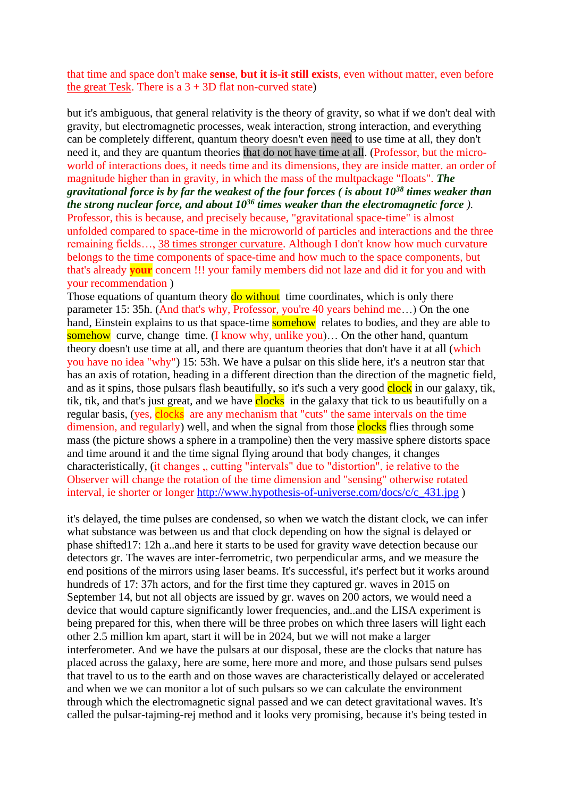## that time and space don't make **sense**, **but it is-it still exists**, even without matter, even before the great Tesk. There is a  $3 + 3D$  flat non-curved state)

but it's ambiguous, that general relativity is the theory of gravity, so what if we don't deal with gravity, but electromagnetic processes, weak interaction, strong interaction, and everything can be completely different, quantum theory doesn't even need to use time at all, they don't need it, and they are quantum theories that do not have time at all. (Professor, but the microworld of interactions does, it needs time and its dimensions, they are inside matter. an order of magnitude higher than in gravity, in which the mass of the multpackage "floats". *The gravitational force is by far the weakest of the four forces ( is about 10<sup>38</sup> times weaker than the strong nuclear force, and about 10<sup>36</sup> times weaker than the electromagnetic force ).*  Professor, this is because, and precisely because, "gravitational space-time" is almost unfolded compared to space-time in the microworld of particles and interactions and the three remaining fields…, 38 times stronger curvature. Although I don't know how much curvature belongs to the time components of space-time and how much to the space components, but that's already **your** concern !!! your family members did not laze and did it for you and with your recommendation )

Those equations of quantum theory **do without** time coordinates, which is only there parameter 15: 35h. (And that's why, Professor, you're 40 years behind me…) On the one hand, Einstein explains to us that space-time somehow relates to bodies, and they are able to somehow curve, change time. (I know why, unlike you)... On the other hand, quantum theory doesn't use time at all, and there are quantum theories that don't have it at all (which you have no idea "why") 15: 53h. We have a pulsar on this slide here, it's a neutron star that has an axis of rotation, heading in a different direction than the direction of the magnetic field, and as it spins, those pulsars flash beautifully, so it's such a very good clock in our galaxy, tik, tik, tik, and that's just great, and we have clocks in the galaxy that tick to us beautifully on a regular basis, (yes, clocks are any mechanism that "cuts" the same intervals on the time dimension, and regularly) well, and when the signal from those clocks flies through some mass (the picture shows a sphere in a trampoline) then the very massive sphere distorts space and time around it and the time signal flying around that body changes, it changes characteristically, (it changes  $\mu$ , cutting "intervals" due to "distortion", ie relative to the Observer will change the rotation of the time dimension and "sensing" otherwise rotated interval, ie shorter or longer [http://www.hypothesis-of-universe.com/docs/c/c\\_431.jpg](http://www.hypothesis-of-universe.com/docs/c/c_431.jpg) )

it's delayed, the time pulses are condensed, so when we watch the distant clock, we can infer what substance was between us and that clock depending on how the signal is delayed or phase shifted17: 12h a..and here it starts to be used for gravity wave detection because our detectors gr. The waves are inter-ferrometric, two perpendicular arms, and we measure the end positions of the mirrors using laser beams. It's successful, it's perfect but it works around hundreds of 17: 37h actors, and for the first time they captured gr. waves in 2015 on September 14, but not all objects are issued by gr. waves on 200 actors, we would need a device that would capture significantly lower frequencies, and..and the LISA experiment is being prepared for this, when there will be three probes on which three lasers will light each other 2.5 million km apart, start it will be in 2024, but we will not make a larger interferometer. And we have the pulsars at our disposal, these are the clocks that nature has placed across the galaxy, here are some, here more and more, and those pulsars send pulses that travel to us to the earth and on those waves are characteristically delayed or accelerated and when we we can monitor a lot of such pulsars so we can calculate the environment through which the electromagnetic signal passed and we can detect gravitational waves. It's called the pulsar-tajming-rej method and it looks very promising, because it's being tested in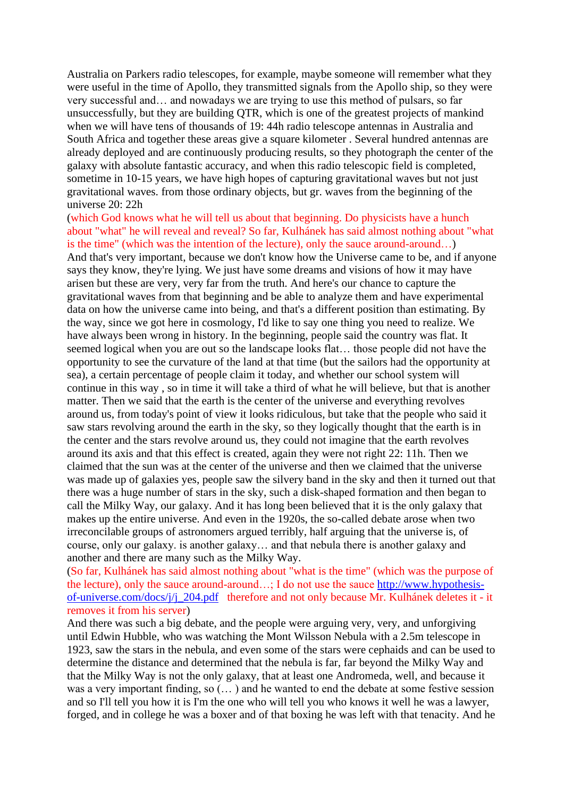Australia on Parkers radio telescopes, for example, maybe someone will remember what they were useful in the time of Apollo, they transmitted signals from the Apollo ship, so they were very successful and… and nowadays we are trying to use this method of pulsars, so far unsuccessfully, but they are building QTR, which is one of the greatest projects of mankind when we will have tens of thousands of 19: 44h radio telescope antennas in Australia and South Africa and together these areas give a square kilometer . Several hundred antennas are already deployed and are continuously producing results, so they photograph the center of the galaxy with absolute fantastic accuracy, and when this radio telescopic field is completed, sometime in 10-15 years, we have high hopes of capturing gravitational waves but not just gravitational waves. from those ordinary objects, but gr. waves from the beginning of the universe 20: 22h

(which God knows what he will tell us about that beginning. Do physicists have a hunch about "what" he will reveal and reveal? So far, Kulhánek has said almost nothing about "what is the time" (which was the intention of the lecture), only the sauce around-around…) And that's very important, because we don't know how the Universe came to be, and if anyone says they know, they're lying. We just have some dreams and visions of how it may have arisen but these are very, very far from the truth. And here's our chance to capture the gravitational waves from that beginning and be able to analyze them and have experimental data on how the universe came into being, and that's a different position than estimating. By the way, since we got here in cosmology, I'd like to say one thing you need to realize. We have always been wrong in history. In the beginning, people said the country was flat. It seemed logical when you are out so the landscape looks flat… those people did not have the opportunity to see the curvature of the land at that time (but the sailors had the opportunity at sea), a certain percentage of people claim it today, and whether our school system will continue in this way , so in time it will take a third of what he will believe, but that is another matter. Then we said that the earth is the center of the universe and everything revolves around us, from today's point of view it looks ridiculous, but take that the people who said it saw stars revolving around the earth in the sky, so they logically thought that the earth is in the center and the stars revolve around us, they could not imagine that the earth revolves around its axis and that this effect is created, again they were not right 22: 11h. Then we claimed that the sun was at the center of the universe and then we claimed that the universe was made up of galaxies yes, people saw the silvery band in the sky and then it turned out that there was a huge number of stars in the sky, such a disk-shaped formation and then began to call the Milky Way, our galaxy. And it has long been believed that it is the only galaxy that makes up the entire universe. And even in the 1920s, the so-called debate arose when two irreconcilable groups of astronomers argued terribly, half arguing that the universe is, of course, only our galaxy. is another galaxy… and that nebula there is another galaxy and another and there are many such as the Milky Way.

(So far, Kulhánek has said almost nothing about "what is the time" (which was the purpose of the lecture), only the sauce around-around…; I do not use the sauce [http://www.hypothesis](http://www.hypothesis-of-universe.com/docs/j/j_204.pdf)[of-universe.com/docs/j/j\\_204.pdf](http://www.hypothesis-of-universe.com/docs/j/j_204.pdf) therefore and not only because Mr. Kulhánek deletes it - it removes it from his server)

And there was such a big debate, and the people were arguing very, very, and unforgiving until Edwin Hubble, who was watching the Mont Wilsson Nebula with a 2.5m telescope in 1923, saw the stars in the nebula, and even some of the stars were cephaids and can be used to determine the distance and determined that the nebula is far, far beyond the Milky Way and that the Milky Way is not the only galaxy, that at least one Andromeda, well, and because it was a very important finding, so (… ) and he wanted to end the debate at some festive session and so I'll tell you how it is I'm the one who will tell you who knows it well he was a lawyer, forged, and in college he was a boxer and of that boxing he was left with that tenacity. And he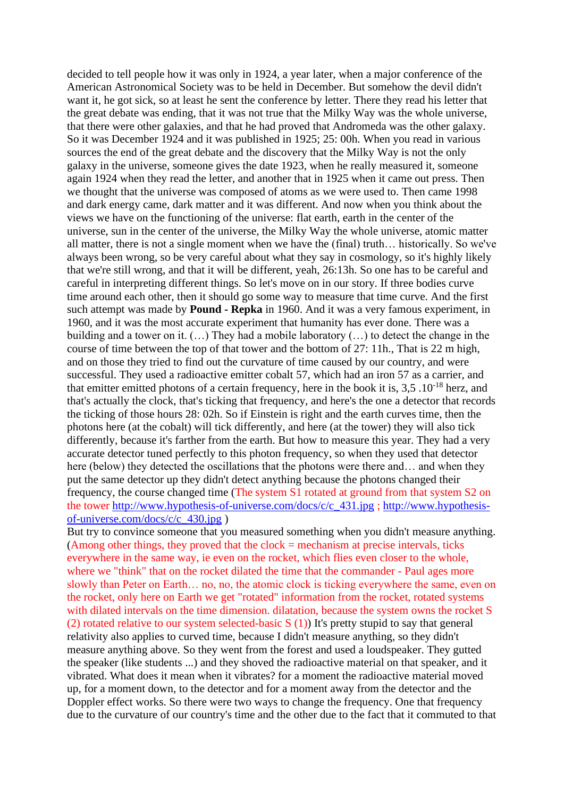decided to tell people how it was only in 1924, a year later, when a major conference of the American Astronomical Society was to be held in December. But somehow the devil didn't want it, he got sick, so at least he sent the conference by letter. There they read his letter that the great debate was ending, that it was not true that the Milky Way was the whole universe, that there were other galaxies, and that he had proved that Andromeda was the other galaxy. So it was December 1924 and it was published in 1925; 25: 00h. When you read in various sources the end of the great debate and the discovery that the Milky Way is not the only galaxy in the universe, someone gives the date 1923, when he really measured it, someone again 1924 when they read the letter, and another that in 1925 when it came out press. Then we thought that the universe was composed of atoms as we were used to. Then came 1998 and dark energy came, dark matter and it was different. And now when you think about the views we have on the functioning of the universe: flat earth, earth in the center of the universe, sun in the center of the universe, the Milky Way the whole universe, atomic matter all matter, there is not a single moment when we have the (final) truth… historically. So we've always been wrong, so be very careful about what they say in cosmology, so it's highly likely that we're still wrong, and that it will be different, yeah, 26:13h. So one has to be careful and careful in interpreting different things. So let's move on in our story. If three bodies curve time around each other, then it should go some way to measure that time curve. And the first such attempt was made by **Pound - Repka** in 1960. And it was a very famous experiment, in 1960, and it was the most accurate experiment that humanity has ever done. There was a building and a tower on it. (…) They had a mobile laboratory (…) to detect the change in the course of time between the top of that tower and the bottom of 27: 11h., That is 22 m high, and on those they tried to find out the curvature of time caused by our country, and were successful. They used a radioactive emitter cobalt 57, which had an iron 57 as a carrier, and that emitter emitted photons of a certain frequency, here in the book it is,  $3,5 \cdot 10^{-18}$  herz, and that's actually the clock, that's ticking that frequency, and here's the one a detector that records the ticking of those hours 28: 02h. So if Einstein is right and the earth curves time, then the photons here (at the cobalt) will tick differently, and here (at the tower) they will also tick differently, because it's farther from the earth. But how to measure this year. They had a very accurate detector tuned perfectly to this photon frequency, so when they used that detector here (below) they detected the oscillations that the photons were there and… and when they put the same detector up they didn't detect anything because the photons changed their frequency, the course changed time (The system S1 rotated at ground from that system S2 on the tower [http://www.hypothesis-of-universe.com/docs/c/c\\_431.jpg](http://www.hypothesis-of-universe.com/docs/c/c_431.jpg) ; [http://www.hypothesis](http://www.hypothesis-of-universe.com/docs/c/c_430.jpg)[of-universe.com/docs/c/c\\_430.jpg](http://www.hypothesis-of-universe.com/docs/c/c_430.jpg) )

But try to convince someone that you measured something when you didn't measure anything. (Among other things, they proved that the clock  $=$  mechanism at precise intervals, ticks everywhere in the same way, ie even on the rocket, which flies even closer to the whole, where we "think" that on the rocket dilated the time that the commander - Paul ages more slowly than Peter on Earth… no, no, the atomic clock is ticking everywhere the same, even on the rocket, only here on Earth we get "rotated" information from the rocket, rotated systems with dilated intervals on the time dimension. dilatation, because the system owns the rocket S (2) rotated relative to our system selected-basic S (1)) It's pretty stupid to say that general relativity also applies to curved time, because I didn't measure anything, so they didn't measure anything above. So they went from the forest and used a loudspeaker. They gutted the speaker (like students ...) and they shoved the radioactive material on that speaker, and it vibrated. What does it mean when it vibrates? for a moment the radioactive material moved up, for a moment down, to the detector and for a moment away from the detector and the Doppler effect works. So there were two ways to change the frequency. One that frequency due to the curvature of our country's time and the other due to the fact that it commuted to that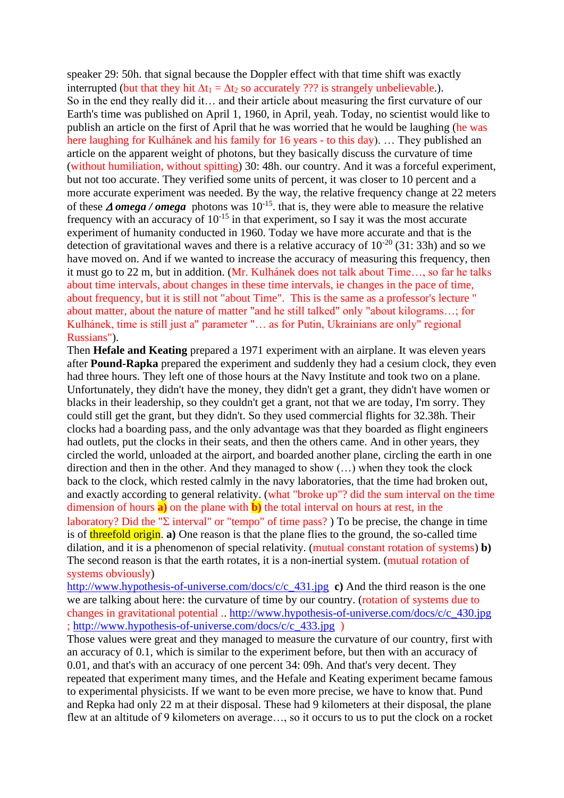speaker 29: 50h. that signal because the Doppler effect with that time shift was exactly interrupted (but that they hit  $\Delta t_1 = \Delta t_2$  so accurately ??? is strangely unbelievable.). So in the end they really did it… and their article about measuring the first curvature of our Earth's time was published on April 1, 1960, in April, yeah. Today, no scientist would like to publish an article on the first of April that he was worried that he would be laughing (he was here laughing for Kulhánek and his family for 16 years - to this day). ... They published an article on the apparent weight of photons, but they basically discuss the curvature of time (without humiliation, without spitting) 30: 48h. our country. And it was a forceful experiment, but not too accurate. They verified some units of percent, it was closer to 10 percent and a more accurate experiment was needed. By the way, the relative frequency change at 22 meters of these  $\triangle$  *omega* / *omega* photons was 10<sup>-15</sup>, that is, they were able to measure the relative frequency with an accuracy of  $10^{-15}$  in that experiment, so I say it was the most accurate experiment of humanity conducted in 1960. Today we have more accurate and that is the detection of gravitational waves and there is a relative accuracy of  $10^{-20}$  (31: 33h) and so we have moved on. And if we wanted to increase the accuracy of measuring this frequency, then it must go to 22 m, but in addition. (Mr. Kulhánek does not talk about Time…, so far he talks about time intervals, about changes in these time intervals, ie changes in the pace of time, about frequency, but it is still not "about Time". This is the same as a professor's lecture " about matter, about the nature of matter "and he still talked" only "about kilograms…; for Kulhánek, time is still just a" parameter "… as for Putin, Ukrainians are only" regional Russians").

Then **Hefale and Keating** prepared a 1971 experiment with an airplane. It was eleven years after **Pound-Rapka** prepared the experiment and suddenly they had a cesium clock, they even had three hours. They left one of those hours at the Navy Institute and took two on a plane. Unfortunately, they didn't have the money, they didn't get a grant, they didn't have women or blacks in their leadership, so they couldn't get a grant, not that we are today, I'm sorry. They could still get the grant, but they didn't. So they used commercial flights for 32.38h. Their clocks had a boarding pass, and the only advantage was that they boarded as flight engineers had outlets, put the clocks in their seats, and then the others came. And in other years, they circled the world, unloaded at the airport, and boarded another plane, circling the earth in one direction and then in the other. And they managed to show (…) when they took the clock back to the clock, which rested calmly in the navy laboratories, that the time had broken out, and exactly according to general relativity. (what "broke up"? did the sum interval on the time dimension of hours **a)** on the plane with **b)** the total interval on hours at rest, in the laboratory? Did the " $\Sigma$  interval" or "tempo" of time pass? ) To be precise, the change in time is of threefold origin. **a)** One reason is that the plane flies to the ground, the so-called time dilation, and it is a phenomenon of special relativity. (mutual constant rotation of systems) **b)** The second reason is that the earth rotates, it is a non-inertial system. (mutual rotation of systems obviously)

[http://www.hypothesis-of-universe.com/docs/c/c\\_431.jpg](http://www.hypothesis-of-universe.com/docs/c/c_431.jpg) **c)** And the third reason is the one we are talking about here: the curvature of time by our country. (rotation of systems due to changes in gravitational potential .. [http://www.hypothesis-of-universe.com/docs/c/c\\_430.jpg](http://www.hypothesis-of-universe.com/docs/c/c_430.jpg) ; [http://www.hypothesis-of-universe.com/docs/c/c\\_433.jpg](http://www.hypothesis-of-universe.com/docs/c/c_433.jpg) )

Those values were great and they managed to measure the curvature of our country, first with an accuracy of 0.1, which is similar to the experiment before, but then with an accuracy of 0.01, and that's with an accuracy of one percent 34: 09h. And that's very decent. They repeated that experiment many times, and the Hefale and Keating experiment became famous to experimental physicists. If we want to be even more precise, we have to know that. Pund and Repka had only 22 m at their disposal. These had 9 kilometers at their disposal, the plane flew at an altitude of 9 kilometers on average…, so it occurs to us to put the clock on a rocket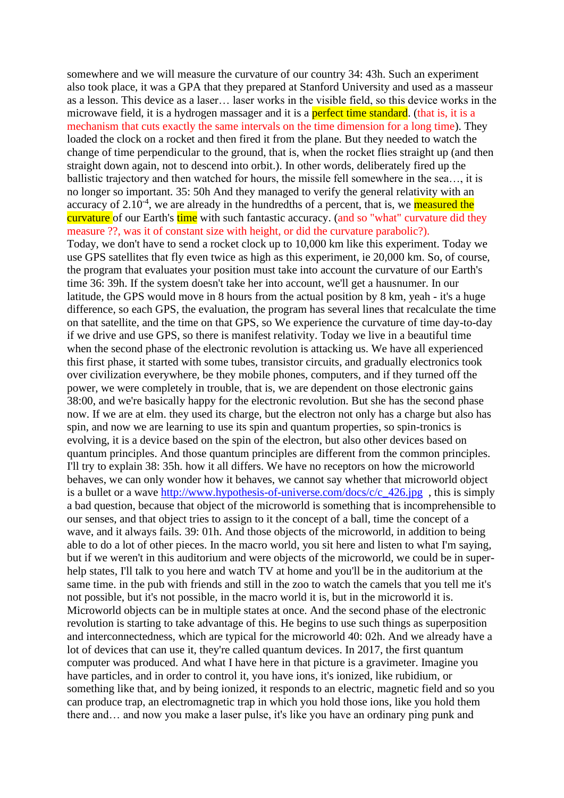somewhere and we will measure the curvature of our country 34: 43h. Such an experiment also took place, it was a GPA that they prepared at Stanford University and used as a masseur as a lesson. This device as a laser… laser works in the visible field, so this device works in the microwave field, it is a hydrogen massager and it is a **perfect time standard**. (that is, it is a mechanism that cuts exactly the same intervals on the time dimension for a long time). They loaded the clock on a rocket and then fired it from the plane. But they needed to watch the change of time perpendicular to the ground, that is, when the rocket flies straight up (and then straight down again, not to descend into orbit.). In other words, deliberately fired up the ballistic trajectory and then watched for hours, the missile fell somewhere in the sea…, it is no longer so important. 35: 50h And they managed to verify the general relativity with an accuracy of 2.10<sup>-4</sup>, we are already in the hundredths of a percent, that is, we measured the curvature of our Earth's time with such fantastic accuracy. (and so "what" curvature did they measure ??, was it of constant size with height, or did the curvature parabolic?). Today, we don't have to send a rocket clock up to 10,000 km like this experiment. Today we use GPS satellites that fly even twice as high as this experiment, ie 20,000 km. So, of course, the program that evaluates your position must take into account the curvature of our Earth's time 36: 39h. If the system doesn't take her into account, we'll get a hausnumer. In our latitude, the GPS would move in 8 hours from the actual position by 8 km, yeah - it's a huge difference, so each GPS, the evaluation, the program has several lines that recalculate the time on that satellite, and the time on that GPS, so We experience the curvature of time day-to-day if we drive and use GPS, so there is manifest relativity. Today we live in a beautiful time when the second phase of the electronic revolution is attacking us. We have all experienced this first phase, it started with some tubes, transistor circuits, and gradually electronics took over civilization everywhere, be they mobile phones, computers, and if they turned off the power, we were completely in trouble, that is, we are dependent on those electronic gains 38:00, and we're basically happy for the electronic revolution. But she has the second phase now. If we are at elm. they used its charge, but the electron not only has a charge but also has spin, and now we are learning to use its spin and quantum properties, so spin-tronics is evolving, it is a device based on the spin of the electron, but also other devices based on quantum principles. And those quantum principles are different from the common principles. I'll try to explain 38: 35h. how it all differs. We have no receptors on how the microworld behaves, we can only wonder how it behaves, we cannot say whether that microworld object is a bullet or a wave [http://www.hypothesis-of-universe.com/docs/c/c\\_426.jpg](http://www.hypothesis-of-universe.com/docs/c/c_426.jpg) , this is simply a bad question, because that object of the microworld is something that is incomprehensible to our senses, and that object tries to assign to it the concept of a ball, time the concept of a wave, and it always fails. 39: 01h. And those objects of the microworld, in addition to being able to do a lot of other pieces. In the macro world, you sit here and listen to what I'm saying, but if we weren't in this auditorium and were objects of the microworld, we could be in superhelp states, I'll talk to you here and watch TV at home and you'll be in the auditorium at the same time. in the pub with friends and still in the zoo to watch the camels that you tell me it's not possible, but it's not possible, in the macro world it is, but in the microworld it is. Microworld objects can be in multiple states at once. And the second phase of the electronic revolution is starting to take advantage of this. He begins to use such things as superposition and interconnectedness, which are typical for the microworld 40: 02h. And we already have a lot of devices that can use it, they're called quantum devices. In 2017, the first quantum computer was produced. And what I have here in that picture is a gravimeter. Imagine you have particles, and in order to control it, you have ions, it's ionized, like rubidium, or something like that, and by being ionized, it responds to an electric, magnetic field and so you can produce trap, an electromagnetic trap in which you hold those ions, like you hold them there and… and now you make a laser pulse, it's like you have an ordinary ping punk and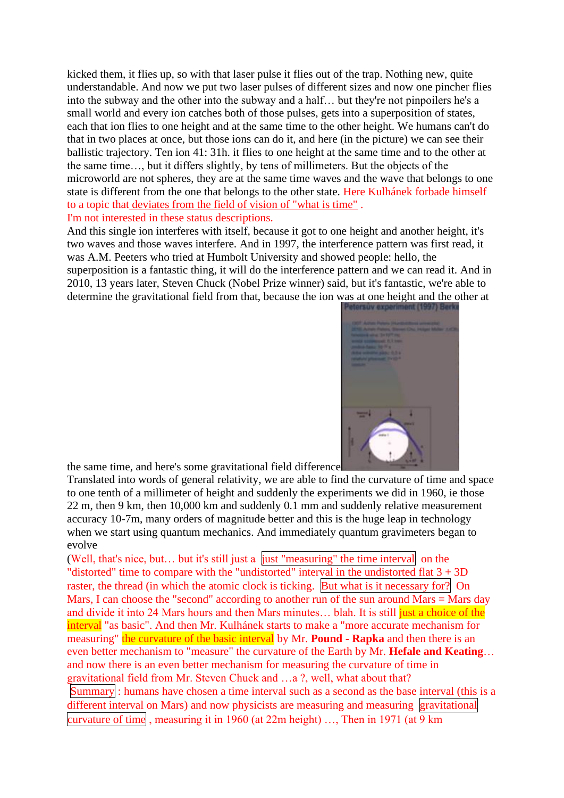kicked them, it flies up, so with that laser pulse it flies out of the trap. Nothing new, quite understandable. And now we put two laser pulses of different sizes and now one pincher flies into the subway and the other into the subway and a half… but they're not pinpoilers he's a small world and every ion catches both of those pulses, gets into a superposition of states, each that ion flies to one height and at the same time to the other height. We humans can't do that in two places at once, but those ions can do it, and here (in the picture) we can see their ballistic trajectory. Ten ion 41: 31h. it flies to one height at the same time and to the other at the same time…, but it differs slightly, by tens of millimeters. But the objects of the microworld are not spheres, they are at the same time waves and the wave that belongs to one state is different from the one that belongs to the other state. Here Kulhánek forbade himself to a topic that deviates from the field of vision of "what is time" .

I'm not interested in these status descriptions.

And this single ion interferes with itself, because it got to one height and another height, it's two waves and those waves interfere. And in 1997, the interference pattern was first read, it was A.M. Peeters who tried at Humbolt University and showed people: hello, the superposition is a fantastic thing, it will do the interference pattern and we can read it. And in 2010, 13 years later, Steven Chuck (Nobel Prize winner) said, but it's fantastic, we're able to determine the gravitational field from that, because the ion was at one height and the other at



the same time, and here's some gravitational field difference

Translated into words of general relativity, we are able to find the curvature of time and space to one tenth of a millimeter of height and suddenly the experiments we did in 1960, ie those 22 m, then 9 km, then 10,000 km and suddenly 0.1 mm and suddenly relative measurement accuracy 10-7m, many orders of magnitude better and this is the huge leap in technology when we start using quantum mechanics. And immediately quantum gravimeters began to evolve

(Well, that's nice, but… but it's still just a just "measuring" the time interval on the "distorted" time to compare with the "undistorted" interval in the undistorted flat  $3 + 3D$ raster, the thread (in which the atomic clock is ticking. But what is it necessary for? On Mars, I can choose the "second" according to another run of the sun around Mars = Mars day and divide it into 24 Mars hours and then Mars minutes... blah. It is still just a choice of the interval "as basic". And then Mr. Kulhánek starts to make a "more accurate mechanism for measuring" the curvature of the basic interval by Mr. **Pound - Rapka** and then there is an even better mechanism to "measure" the curvature of the Earth by Mr. **Hefale and Keating**… and now there is an even better mechanism for measuring the curvature of time in gravitational field from Mr. Steven Chuck and …a ?, well, what about that? Summary : humans have chosen a time interval such as a second as the base interval (this is a different interval on Mars) and now physicists are measuring and measuring gravitational curvature of time , measuring it in 1960 (at 22m height) …, Then in 1971 (at 9 km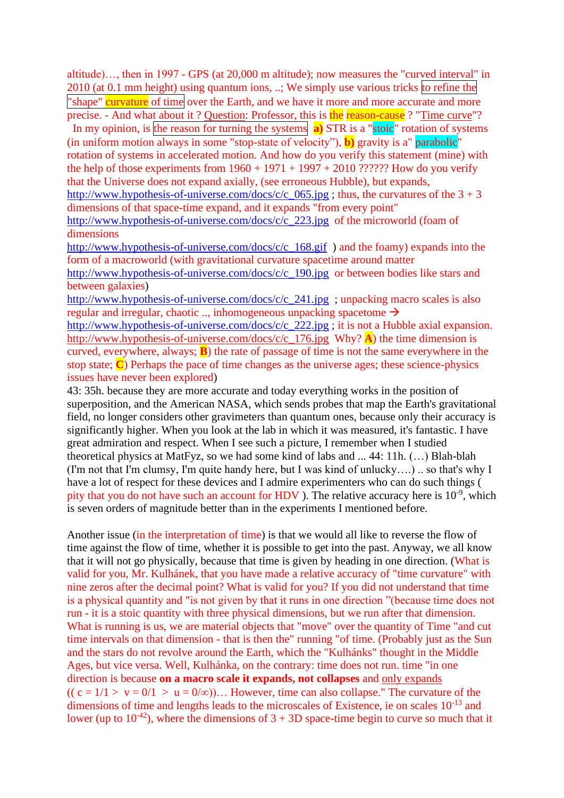altitude)…, then in 1997 - GPS (at 20,000 m altitude); now measures the "curved interval" in 2010 (at 0.1 mm height) using quantum ions, ..; We simply use various tricks to refine the "shape" curvature of time over the Earth, and we have it more and more accurate and more precise. - And what about it ? Question: Professor, this is the reason-cause ? "Time curve"?

 In my opinion, is the reason for turning the systems **a)** STR is a "stoic" rotation of systems (in uniform motion always in some "stop-state of velocity"), **b)** gravity is a" parabolic" rotation of systems in accelerated motion. And how do you verify this statement (mine) with the help of those experiments from  $1960 + 1971 + 1997 + 2010$  ?????? How do you verify that the Universe does not expand axially, (see erroneous Hubble), but expands, http://www.hypothesis-of-universe.com/docs/c/c  $065$ .jpg ; thus, the curvatures of the  $3 + 3$ dimensions of that space-time expand, and it expands "from every point" [http://www.hypothesis-of-universe.com/docs/c/c\\_223.jpg](http://www.hypothesis-of-universe.com/docs/c/c_223.jpg) of the microworld (foam of

dimensions

[http://www.hypothesis-of-universe.com/docs/c/c\\_168.gif](http://www.hypothesis-of-universe.com/docs/c/c_168.gif) ) and the foamy) expands into the form of a macroworld (with gravitational curvature spacetime around matter [http://www.hypothesis-of-universe.com/docs/c/c\\_190.jpg](http://www.hypothesis-of-universe.com/docs/c/c_190.jpg) or between bodies like stars and between galaxies)

[http://www.hypothesis-of-universe.com/docs/c/c\\_241.jpg](http://www.hypothesis-of-universe.com/docs/c/c_241.jpg) ; unpacking macro scales is also regular and irregular, chaotic ..., inhomogeneous unpacking spacetome  $\rightarrow$ 

[http://www.hypothesis-of-universe.com/docs/c/c\\_222.jpg](http://www.hypothesis-of-universe.com/docs/c/c_222.jpg) ; it is not a Hubble axial expansion. [http://www.hypothesis-of-universe.com/docs/c/c\\_176.jpg](http://www.hypothesis-of-universe.com/docs/c/c_176.jpg) Why? **A**) the time dimension is curved, everywhere, always; **B**) the rate of passage of time is not the same everywhere in the stop state; **C**) Perhaps the pace of time changes as the universe ages; these science-physics issues have never been explored)

43: 35h. because they are more accurate and today everything works in the position of superposition, and the American NASA, which sends probes that map the Earth's gravitational field, no longer considers other gravimeters than quantum ones, because only their accuracy is significantly higher. When you look at the lab in which it was measured, it's fantastic. I have great admiration and respect. When I see such a picture, I remember when I studied theoretical physics at MatFyz, so we had some kind of labs and ... 44: 11h. (…) Blah-blah (I'm not that I'm clumsy, I'm quite handy here, but I was kind of unlucky….) .. so that's why I have a lot of respect for these devices and I admire experimenters who can do such things ( pity that you do not have such an account for HDV). The relative accuracy here is  $10^{-9}$ , which is seven orders of magnitude better than in the experiments I mentioned before.

Another issue (in the interpretation of time) is that we would all like to reverse the flow of time against the flow of time, whether it is possible to get into the past. Anyway, we all know that it will not go physically, because that time is given by heading in one direction. (What is valid for you, Mr. Kulhánek, that you have made a relative accuracy of "time curvature" with nine zeros after the decimal point? What is valid for you? If you did not understand that time is a physical quantity and "is not given by that it runs in one direction "(because time does not run - it is a stoic quantity with three physical dimensions, but we run after that dimension. What is running is us, we are material objects that "move" over the quantity of Time "and cut time intervals on that dimension - that is then the" running "of time. (Probably just as the Sun and the stars do not revolve around the Earth, which the "Kulhánks" thought in the Middle Ages, but vice versa. Well, Kulhánka, on the contrary: time does not run. time "in one direction is because **on a macro scale it expands, not collapses** and only expands  $((c = 1/1 > v = 0/1 > u = 0/\infty))...$  However, time can also collapse." The curvature of the dimensions of time and lengths leads to the microscales of Existence, ie on scales  $10^{-13}$  and lower (up to  $10^{-42}$ ), where the dimensions of  $3 + 3D$  space-time begin to curve so much that it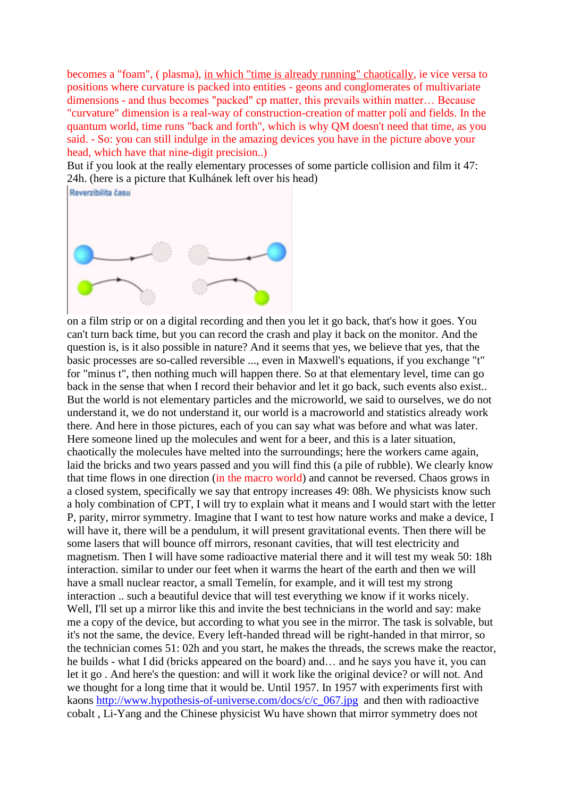becomes a "foam", ( plasma), in which "time is already running" chaotically, ie vice versa to positions where curvature is packed into entities - geons and conglomerates of multivariate dimensions - and thus becomes "packed" cp matter, this prevails within matter… Because "curvature" dimension is a real-way of construction-creation of matter polí and fields. In the quantum world, time runs "back and forth", which is why QM doesn't need that time, as you said. - So: you can still indulge in the amazing devices you have in the picture above your head, which have that nine-digit precision..)

But if you look at the really elementary processes of some particle collision and film it 47: 24h. (here is a picture that Kulhánek left over his head)



on a film strip or on a digital recording and then you let it go back, that's how it goes. You can't turn back time, but you can record the crash and play it back on the monitor. And the question is, is it also possible in nature? And it seems that yes, we believe that yes, that the basic processes are so-called reversible ..., even in Maxwell's equations, if you exchange "t" for "minus t", then nothing much will happen there. So at that elementary level, time can go back in the sense that when I record their behavior and let it go back, such events also exist.. But the world is not elementary particles and the microworld, we said to ourselves, we do not understand it, we do not understand it, our world is a macroworld and statistics already work there. And here in those pictures, each of you can say what was before and what was later. Here someone lined up the molecules and went for a beer, and this is a later situation, chaotically the molecules have melted into the surroundings; here the workers came again, laid the bricks and two years passed and you will find this (a pile of rubble). We clearly know that time flows in one direction (in the macro world) and cannot be reversed. Chaos grows in a closed system, specifically we say that entropy increases 49: 08h. We physicists know such a holy combination of CPT, I will try to explain what it means and I would start with the letter P, parity, mirror symmetry. Imagine that I want to test how nature works and make a device, I will have it, there will be a pendulum, it will present gravitational events. Then there will be some lasers that will bounce off mirrors, resonant cavities, that will test electricity and magnetism. Then I will have some radioactive material there and it will test my weak 50: 18h interaction. similar to under our feet when it warms the heart of the earth and then we will have a small nuclear reactor, a small Temelín, for example, and it will test my strong interaction .. such a beautiful device that will test everything we know if it works nicely. Well, I'll set up a mirror like this and invite the best technicians in the world and say: make me a copy of the device, but according to what you see in the mirror. The task is solvable, but it's not the same, the device. Every left-handed thread will be right-handed in that mirror, so the technician comes 51: 02h and you start, he makes the threads, the screws make the reactor, he builds - what I did (bricks appeared on the board) and… and he says you have it, you can let it go . And here's the question: and will it work like the original device? or will not. And we thought for a long time that it would be. Until 1957. In 1957 with experiments first with kaons http://www.hypothesis-of-universe.com/docs/c/c 067.jpg and then with radioactive cobalt , Li-Yang and the Chinese physicist Wu have shown that mirror symmetry does not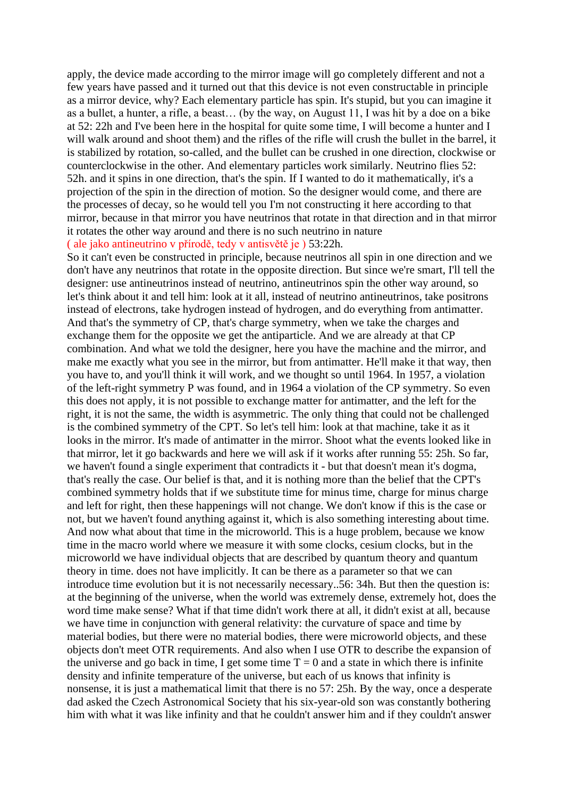apply, the device made according to the mirror image will go completely different and not a few years have passed and it turned out that this device is not even constructable in principle as a mirror device, why? Each elementary particle has spin. It's stupid, but you can imagine it as a bullet, a hunter, a rifle, a beast… (by the way, on August 11, I was hit by a doe on a bike at 52: 22h and I've been here in the hospital for quite some time, I will become a hunter and I will walk around and shoot them) and the rifles of the rifle will crush the bullet in the barrel, it is stabilized by rotation, so-called, and the bullet can be crushed in one direction, clockwise or counterclockwise in the other. And elementary particles work similarly. Neutrino flies 52: 52h. and it spins in one direction, that's the spin. If I wanted to do it mathematically, it's a projection of the spin in the direction of motion. So the designer would come, and there are the processes of decay, so he would tell you I'm not constructing it here according to that mirror, because in that mirror you have neutrinos that rotate in that direction and in that mirror it rotates the other way around and there is no such neutrino in nature ( ale jako antineutrino v přírodě, tedy v antisvětě je ) 53:22h.

So it can't even be constructed in principle, because neutrinos all spin in one direction and we don't have any neutrinos that rotate in the opposite direction. But since we're smart, I'll tell the designer: use antineutrinos instead of neutrino, antineutrinos spin the other way around, so let's think about it and tell him: look at it all, instead of neutrino antineutrinos, take positrons instead of electrons, take hydrogen instead of hydrogen, and do everything from antimatter. And that's the symmetry of CP, that's charge symmetry, when we take the charges and exchange them for the opposite we get the antiparticle. And we are already at that CP combination. And what we told the designer, here you have the machine and the mirror, and make me exactly what you see in the mirror, but from antimatter. He'll make it that way, then you have to, and you'll think it will work, and we thought so until 1964. In 1957, a violation of the left-right symmetry P was found, and in 1964 a violation of the CP symmetry. So even this does not apply, it is not possible to exchange matter for antimatter, and the left for the right, it is not the same, the width is asymmetric. The only thing that could not be challenged is the combined symmetry of the CPT. So let's tell him: look at that machine, take it as it looks in the mirror. It's made of antimatter in the mirror. Shoot what the events looked like in that mirror, let it go backwards and here we will ask if it works after running 55: 25h. So far, we haven't found a single experiment that contradicts it - but that doesn't mean it's dogma, that's really the case. Our belief is that, and it is nothing more than the belief that the CPT's combined symmetry holds that if we substitute time for minus time, charge for minus charge and left for right, then these happenings will not change. We don't know if this is the case or not, but we haven't found anything against it, which is also something interesting about time. And now what about that time in the microworld. This is a huge problem, because we know time in the macro world where we measure it with some clocks, cesium clocks, but in the microworld we have individual objects that are described by quantum theory and quantum theory in time. does not have implicitly. It can be there as a parameter so that we can introduce time evolution but it is not necessarily necessary..56: 34h. But then the question is: at the beginning of the universe, when the world was extremely dense, extremely hot, does the word time make sense? What if that time didn't work there at all, it didn't exist at all, because we have time in conjunction with general relativity: the curvature of space and time by material bodies, but there were no material bodies, there were microworld objects, and these objects don't meet OTR requirements. And also when I use OTR to describe the expansion of the universe and go back in time, I get some time  $T = 0$  and a state in which there is infinite density and infinite temperature of the universe, but each of us knows that infinity is nonsense, it is just a mathematical limit that there is no 57: 25h. By the way, once a desperate dad asked the Czech Astronomical Society that his six-year-old son was constantly bothering him with what it was like infinity and that he couldn't answer him and if they couldn't answer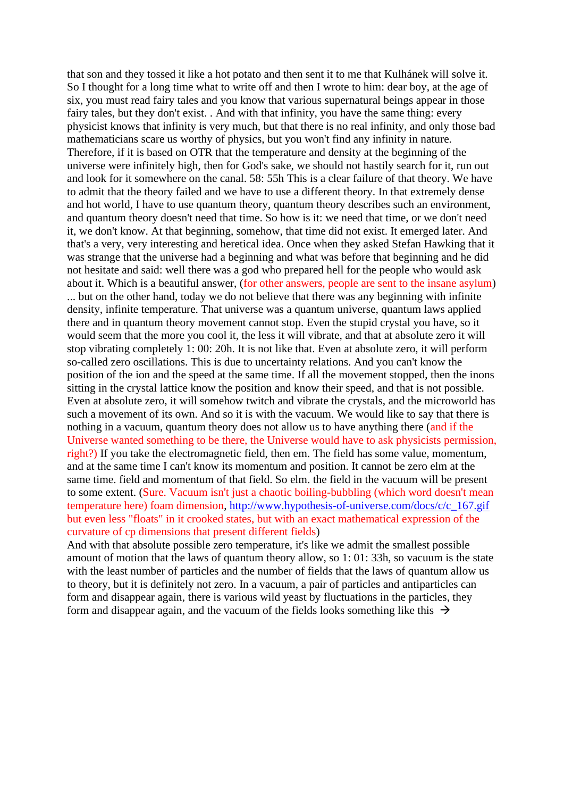that son and they tossed it like a hot potato and then sent it to me that Kulhánek will solve it. So I thought for a long time what to write off and then I wrote to him: dear boy, at the age of six, you must read fairy tales and you know that various supernatural beings appear in those fairy tales, but they don't exist. . And with that infinity, you have the same thing: every physicist knows that infinity is very much, but that there is no real infinity, and only those bad mathematicians scare us worthy of physics, but you won't find any infinity in nature. Therefore, if it is based on OTR that the temperature and density at the beginning of the universe were infinitely high, then for God's sake, we should not hastily search for it, run out and look for it somewhere on the canal. 58: 55h This is a clear failure of that theory. We have to admit that the theory failed and we have to use a different theory. In that extremely dense and hot world, I have to use quantum theory, quantum theory describes such an environment, and quantum theory doesn't need that time. So how is it: we need that time, or we don't need it, we don't know. At that beginning, somehow, that time did not exist. It emerged later. And that's a very, very interesting and heretical idea. Once when they asked Stefan Hawking that it was strange that the universe had a beginning and what was before that beginning and he did not hesitate and said: well there was a god who prepared hell for the people who would ask about it. Which is a beautiful answer, (for other answers, people are sent to the insane asylum) ... but on the other hand, today we do not believe that there was any beginning with infinite density, infinite temperature. That universe was a quantum universe, quantum laws applied there and in quantum theory movement cannot stop. Even the stupid crystal you have, so it would seem that the more you cool it, the less it will vibrate, and that at absolute zero it will stop vibrating completely 1: 00: 20h. It is not like that. Even at absolute zero, it will perform so-called zero oscillations. This is due to uncertainty relations. And you can't know the position of the ion and the speed at the same time. If all the movement stopped, then the inons sitting in the crystal lattice know the position and know their speed, and that is not possible. Even at absolute zero, it will somehow twitch and vibrate the crystals, and the microworld has such a movement of its own. And so it is with the vacuum. We would like to say that there is nothing in a vacuum, quantum theory does not allow us to have anything there (and if the Universe wanted something to be there, the Universe would have to ask physicists permission, right?) If you take the electromagnetic field, then em. The field has some value, momentum, and at the same time I can't know its momentum and position. It cannot be zero elm at the same time. field and momentum of that field. So elm. the field in the vacuum will be present to some extent. (Sure. Vacuum isn't just a chaotic boiling-bubbling (which word doesn't mean temperature here) foam dimension, [http://www.hypothesis-of-universe.com/docs/c/c\\_167.gif](http://www.hypothesis-of-universe.com/docs/c/c_167.gif)  but even less "floats" in it crooked states, but with an exact mathematical expression of the curvature of cp dimensions that present different fields)

And with that absolute possible zero temperature, it's like we admit the smallest possible amount of motion that the laws of quantum theory allow, so 1: 01: 33h, so vacuum is the state with the least number of particles and the number of fields that the laws of quantum allow us to theory, but it is definitely not zero. In a vacuum, a pair of particles and antiparticles can form and disappear again, there is various wild yeast by fluctuations in the particles, they form and disappear again, and the vacuum of the fields looks something like this  $\rightarrow$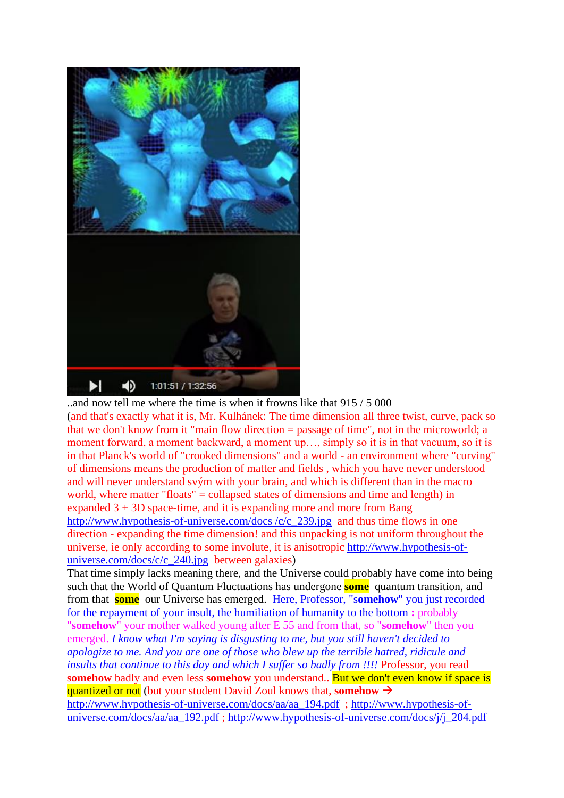

..and now tell me where the time is when it frowns like that 915 / 5 000 (and that's exactly what it is, Mr. Kulhánek: The time dimension all three twist, curve, pack so that we don't know from it "main flow direction = passage of time", not in the microworld; a moment forward, a moment backward, a moment up…, simply so it is in that vacuum, so it is in that Planck's world of "crooked dimensions" and a world - an environment where "curving" of dimensions means the production of matter and fields , which you have never understood and will never understand svým with your brain, and which is different than in the macro world, where matter "floats" = collapsed states of dimensions and time and length) in expanded  $3 + 3D$  space-time, and it is expanding more and more from Bang [http://www.hypothesis-of-universe.com/docs /c/c\\_239.jpg](http://www.hypothesis-of-universe.com/docs%20/c/c_239.jpg) and thus time flows in one direction - expanding the time dimension! and this unpacking is not uniform throughout the universe, ie only according to some involute, it is anisotropic [http://www.hypothesis-of](http://www.hypothesis-of-universe.com/docs/c/c_240.jpg)[universe.com/docs/c/c\\_240.jpg](http://www.hypothesis-of-universe.com/docs/c/c_240.jpg) between galaxies)

That time simply lacks meaning there, and the Universe could probably have come into being such that the World of Quantum Fluctuations has undergone **some** quantum transition, and from that **some** our Universe has emerged. Here, Professor, "s**omehow**" you just recorded for the repayment of your insult, the humiliation of humanity to the bottom **:** probably "**somehow**" your mother walked young after E 55 and from that, so "**somehow**" then you emerged. *I know what I'm saying is disgusting to me, but you still haven't decided to apologize to me. And you are one of those who blew up the terrible hatred, ridicule and insults that continue to this day and which I suffer so badly from !!!!* Professor, you read **somehow** badly and even less **somehow** you understand.. But we don't even know if space is quantized or not (but your student David Zoul knows that, **somehow** →

[http://www.hypothesis-of-universe.com/docs/aa/aa\\_194.pdf](http://www.hypothesis-of-universe.com/docs/aa/aa_194.pdf) ; [http://www.hypothesis-of](http://www.hypothesis-of-universe.com/docs/aa/aa_192.pdf)[universe.com/docs/aa/aa\\_192.pdf](http://www.hypothesis-of-universe.com/docs/aa/aa_192.pdf) ; http://www.hypothesis-of-universe.com/docs/j/j\_204.pdf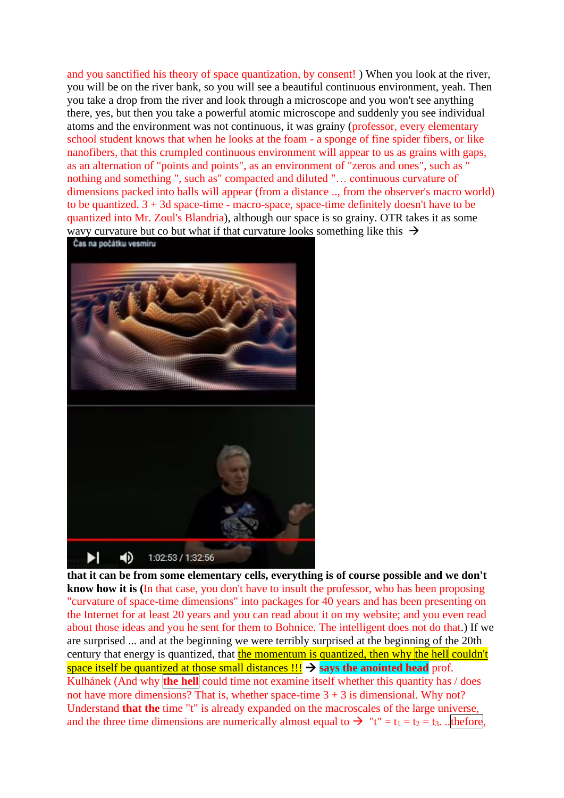and you sanctified his theory of space quantization, by consent! ) When you look at the river, you will be on the river bank, so you will see a beautiful continuous environment, yeah. Then you take a drop from the river and look through a microscope and you won't see anything there, yes, but then you take a powerful atomic microscope and suddenly you see individual atoms and the environment was not continuous, it was grainy (professor, every elementary school student knows that when he looks at the foam - a sponge of fine spider fibers, or like nanofibers, that this crumpled continuous environment will appear to us as grains with gaps, as an alternation of "points and points", as an environment of "zeros and ones", such as " nothing and something ", such as" compacted and diluted "… continuous curvature of dimensions packed into balls will appear (from a distance .., from the observer's macro world) to be quantized.  $3 + 3d$  space-time - macro-space, space-time definitely doesn't have to be quantized into Mr. Zoul's Blandria), although our space is so grainy. OTR takes it as some wavy curvature but co but what if that curvature looks something like this  $\rightarrow$ 

Čas na počátku vesmíru



**that it can be from some elementary cells, everything is of course possible and we don't know how it is (**In that case, you don't have to insult the professor, who has been proposing "curvature of space-time dimensions" into packages for 40 years and has been presenting on the Internet for at least 20 years and you can read about it on my website; and you even read about those ideas and you he sent for them to Bohnice. The intelligent does not do that.) If we are surprised ... and at the beginning we were terribly surprised at the beginning of the 20th century that energy is quantized, that <mark>the momentum is quantized, then why the hell</mark> couldn't space itself be quantized at those small distances !!! → says the anointed head prof. Kulhánek (And why **the hell** could time not examine itself whether this quantity has / does not have more dimensions? That is, whether space-time  $3 + 3$  is dimensional. Why not? Understand **that the** time "t" is already expanded on the macroscales of the large universe, and the three time dimensions are numerically almost equal to  $\rightarrow$  "t" = t<sub>1</sub> = t<sub>2</sub> = t<sub>3</sub>. ..thefore,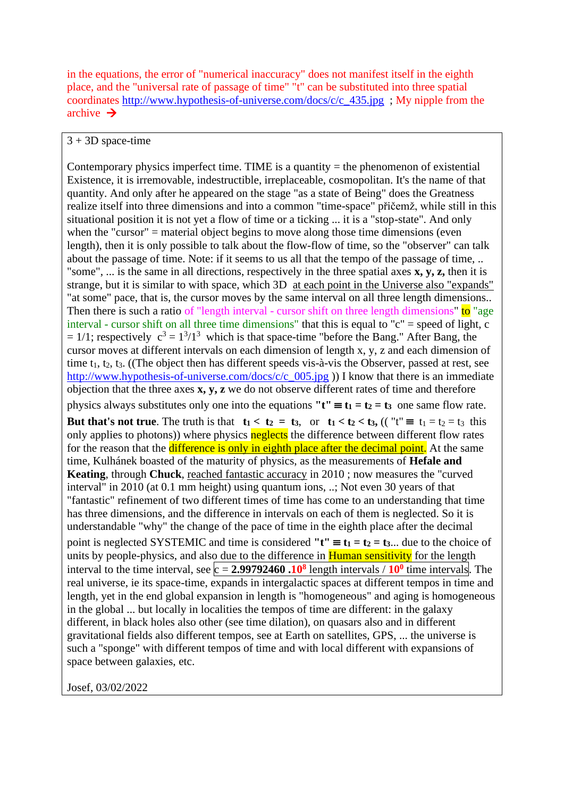in the equations, the error of "numerical inaccuracy" does not manifest itself in the eighth place, and the "universal rate of passage of time" "t" can be substituted into three spatial coordinates [http://www.hypothesis-of-universe.com/docs/c/c\\_435.jpg](http://www.hypothesis-of-universe.com/docs/c/c_435.jpg) ; My nipple from the archive  $\rightarrow$ 

## $3 + 3D$  space-time

Contemporary physics imperfect time. TIME is a quantity  $=$  the phenomenon of existential Existence, it is irremovable, indestructible, irreplaceable, cosmopolitan. It's the name of that quantity. And only after he appeared on the stage "as a state of Being" does the Greatness realize itself into three dimensions and into a common "time-space" přičemž, while still in this situational position it is not yet a flow of time or a ticking ... it is a "stop-state". And only when the "cursor" = material object begins to move along those time dimensions (even length), then it is only possible to talk about the flow-flow of time, so the "observer" can talk about the passage of time. Note: if it seems to us all that the tempo of the passage of time, .. "some", ... is the same in all directions, respectively in the three spatial axes **x, y, z,** then it is strange, but it is similar to with space, which 3D at each point in the Universe also "expands" "at some" pace, that is, the cursor moves by the same interval on all three length dimensions.. Then there is such a ratio of "length interval - cursor shift on three length dimensions" to "age interval - cursor shift on all three time dimensions" that this is equal to "c" = speed of light, c  $= 1/1$ ; respectively  $c^3 = 1^3/1^3$  which is that space-time "before the Bang." After Bang, the cursor moves at different intervals on each dimension of length x, y, z and each dimension of time  $t_1$ ,  $t_2$ ,  $t_3$ . ((The object then has different speeds vis-à-vis the Observer, passed at rest, see [http://www.hypothesis-of-universe.com/docs/c/c\\_005.jpg](http://www.hypothesis-of-universe.com/docs/c/c_005.jpg) )) I know that there is an immediate objection that the three axes **x, y, z** we do not observe different rates of time and therefore physics always substitutes only one into the equations  $"t" \equiv t_1 = t_2 = t_3$  one same flow rate. **But that's not true**. The truth is that  $t_1 < t_2 = t_3$ , or  $t_1 < t_2 < t_3$ , (("t"  $\equiv t_1 = t_2 = t_3$  this only applies to photons)) where physics neglects the difference between different flow rates for the reason that the difference is only in eighth place after the decimal point. At the same time, Kulhánek boasted of the maturity of physics, as the measurements of **Hefale and Keating**, through **Chuck**, reached fantastic accuracy in 2010 ; now measures the "curved interval" in 2010 (at 0.1 mm height) using quantum ions, ..; Not even 30 years of that "fantastic" refinement of two different times of time has come to an understanding that time has three dimensions, and the difference in intervals on each of them is neglected. So it is understandable "why" the change of the pace of time in the eighth place after the decimal point is neglected SYSTEMIC and time is considered " $t'' \equiv t_1 = t_2 = t_3$ ... due to the choice of units by people-physics, and also due to the difference in **Human sensitivity** for the length interval to the time interval, see  $c = 2.99792460 \cdot 10^8$  length intervals /  $10^0$  time intervals. The real universe, ie its space-time, expands in intergalactic spaces at different tempos in time and length, yet in the end global expansion in length is "homogeneous" and aging is homogeneous in the global ... but locally in localities the tempos of time are different: in the galaxy different, in black holes also other (see time dilation), on quasars also and in different gravitational fields also different tempos, see at Earth on satellites, GPS, ... the universe is such a "sponge" with different tempos of time and with local different with expansions of space between galaxies, etc.

Josef, 03/02/2022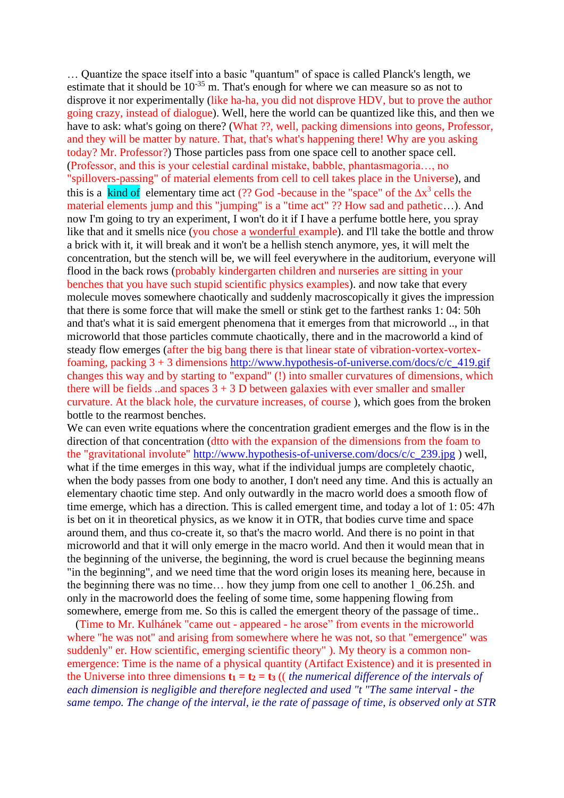… Quantize the space itself into a basic "quantum" of space is called Planck's length, we estimate that it should be  $10^{-35}$  m. That's enough for where we can measure so as not to disprove it nor experimentally (like ha-ha, you did not disprove HDV, but to prove the author going crazy, instead of dialogue). Well, here the world can be quantized like this, and then we have to ask: what's going on there? (What ??, well, packing dimensions into geons, Professor, and they will be matter by nature. That, that's what's happening there! Why are you asking today? Mr. Professor?) Those particles pass from one space cell to another space cell. (Professor, and this is your celestial cardinal mistake, babble, phantasmagoria…, no "spillovers-passing" of material elements from cell to cell takes place in the Universe), and this is a kind of elementary time act (?? God -because in the "space" of the  $\Delta x^3$  cells the material elements jump and this "jumping" is a "time act" ?? How sad and pathetic…). And now I'm going to try an experiment, I won't do it if I have a perfume bottle here, you spray like that and it smells nice (you chose a wonderful example). and I'll take the bottle and throw a brick with it, it will break and it won't be a hellish stench anymore, yes, it will melt the concentration, but the stench will be, we will feel everywhere in the auditorium, everyone will flood in the back rows (probably kindergarten children and nurseries are sitting in your benches that you have such stupid scientific physics examples). and now take that every molecule moves somewhere chaotically and suddenly macroscopically it gives the impression that there is some force that will make the smell or stink get to the farthest ranks 1: 04: 50h and that's what it is said emergent phenomena that it emerges from that microworld .., in that microworld that those particles commute chaotically, there and in the macroworld a kind of steady flow emerges (after the big bang there is that linear state of vibration-vortex-vortexfoaming, packing 3 + 3 dimensions [http://www.hypothesis-of-universe.com/docs/c/c\\_419.gif](http://www.hypothesis-of-universe.com/docs/c/c_419.gif)  changes this way and by starting to "expand" (!) into smaller curvatures of dimensions, which there will be fields ..and spaces  $3 + 3$  D between galaxies with ever smaller and smaller curvature. At the black hole, the curvature increases, of course ), which goes from the broken bottle to the rearmost benches.

We can even write equations where the concentration gradient emerges and the flow is in the direction of that concentration (dtto with the expansion of the dimensions from the foam to the "gravitational involute" [http://www.hypothesis-of-universe.com/docs/c/c\\_239.jpg](http://www.hypothesis-of-universe.com/docs/c/c_239.jpg) ) well, what if the time emerges in this way, what if the individual jumps are completely chaotic, when the body passes from one body to another, I don't need any time. And this is actually an elementary chaotic time step. And only outwardly in the macro world does a smooth flow of time emerge, which has a direction. This is called emergent time, and today a lot of 1: 05: 47h is bet on it in theoretical physics, as we know it in OTR, that bodies curve time and space around them, and thus co-create it, so that's the macro world. And there is no point in that microworld and that it will only emerge in the macro world. And then it would mean that in the beginning of the universe, the beginning, the word is cruel because the beginning means "in the beginning", and we need time that the word origin loses its meaning here, because in the beginning there was no time… how they jump from one cell to another 1\_06.25h. and only in the macroworld does the feeling of some time, some happening flowing from somewhere, emerge from me. So this is called the emergent theory of the passage of time..

 (Time to Mr. Kulhánek "came out - appeared - he arose" from events in the microworld where "he was not" and arising from somewhere where he was not, so that "emergence" was suddenly" er. How scientific, emerging scientific theory" ). My theory is a common nonemergence: Time is the name of a physical quantity (Artifact Existence) and it is presented in the Universe into three dimensions  $\mathbf{t}_1 = \mathbf{t}_2 = \mathbf{t}_3$  ((*the numerical difference of the intervals of each dimension is negligible and therefore neglected and used "t "The same interval - the same tempo. The change of the interval, ie the rate of passage of time, is observed only at STR*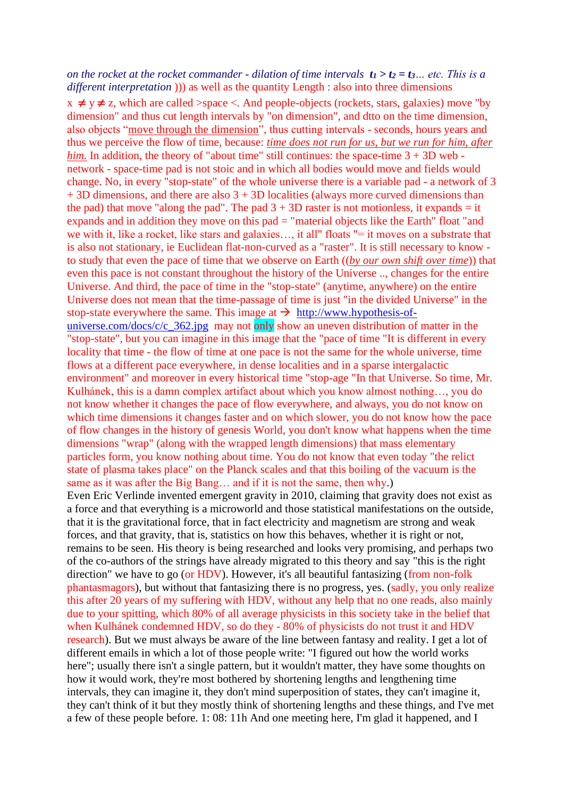## *on the rocket at the rocket commander - dilation of time intervals*  $t_1 > t_2 = t_3$ *... etc. This is a different interpretation*  $)$ ) as well as the quantity Length : also into three dimensions  $x \neq y \neq z$ , which are called >space <. And people-objects (rockets, stars, galaxies) move "by dimension" and thus cut length intervals by "on dimension", and dtto on the time dimension, also objects "move through the dimension", thus cutting intervals - seconds, hours years and thus we perceive the flow of time, because: *time does not run for us, but we run for him, after him.* In addition, the theory of "about time" still continues: the space-time  $3 + 3D$  web network - space-time pad is not stoic and in which all bodies would move and fields would change. No, in every "stop-state" of the whole universe there is a variable pad - a network of 3 + 3D dimensions, and there are also 3 + 3D localities (always more curved dimensions than the pad) that move "along the pad". The pad  $3 + 3D$  raster is not motionless, it expands = it expands and in addition they move on this pad = "material objects like the Earth" float "and we with it, like a rocket, like stars and galaxies..., it all" floats "= it moves on a substrate that is also not stationary, ie Euclidean flat-non-curved as a "raster". It is still necessary to know to study that even the pace of time that we observe on Earth ((*by our own shift over time*)) that even this pace is not constant throughout the history of the Universe .., changes for the entire Universe. And third, the pace of time in the "stop-state" (anytime, anywhere) on the entire Universe does not mean that the time-passage of time is just "in the divided Universe" in the stop-state everywhere the same. This image at  $\rightarrow$  [http://www.hypothesis-of](http://www.hypothesis-of-universe.com/docs/c/c_362.jpg)[universe.com/docs/c/c\\_362.jpg](http://www.hypothesis-of-universe.com/docs/c/c_362.jpg) may not only show an uneven distribution of matter in the "stop-state", but you can imagine in this image that the "pace of time "It is different in every locality that time - the flow of time at one pace is not the same for the whole universe, time flows at a different pace everywhere, in dense localities and in a sparse intergalactic environment" and moreover in every historical time "stop-age "In that Universe. So time, Mr. Kulhánek, this is a damn complex artifact about which you know almost nothing…, you do not know whether it changes the pace of flow everywhere, and always, you do not know on which time dimensions it changes faster and on which slower, you do not know how the pace of flow changes in the history of genesis World, you don't know what happens when the time dimensions "wrap" (along with the wrapped length dimensions) that mass elementary particles form, you know nothing about time. You do not know that even today "the relict state of plasma takes place" on the Planck scales and that this boiling of the vacuum is the same as it was after the Big Bang… and if it is not the same, then why.) Even Eric Verlinde invented emergent gravity in 2010, claiming that gravity does not exist as a force and that everything is a microworld and those statistical manifestations on the outside, that it is the gravitational force, that in fact electricity and magnetism are strong and weak forces, and that gravity, that is, statistics on how this behaves, whether it is right or not, remains to be seen. His theory is being researched and looks very promising, and perhaps two of the co-authors of the strings have already migrated to this theory and say "this is the right direction" we have to go (or HDV). However, it's all beautiful fantasizing (from non-folk phantasmagors), but without that fantasizing there is no progress, yes. (sadly, you only realize this after 20 years of my suffering with HDV, without any help that no one reads, also mainly due to your spitting, which 80% of all average physicists in this society take in the belief that

when Kulhánek condemned HDV, so do they - 80% of physicists do not trust it and HDV research). But we must always be aware of the line between fantasy and reality. I get a lot of different emails in which a lot of those people write: "I figured out how the world works here"; usually there isn't a single pattern, but it wouldn't matter, they have some thoughts on how it would work, they're most bothered by shortening lengths and lengthening time intervals, they can imagine it, they don't mind superposition of states, they can't imagine it, they can't think of it but they mostly think of shortening lengths and these things, and I've met a few of these people before. 1: 08: 11h And one meeting here, I'm glad it happened, and I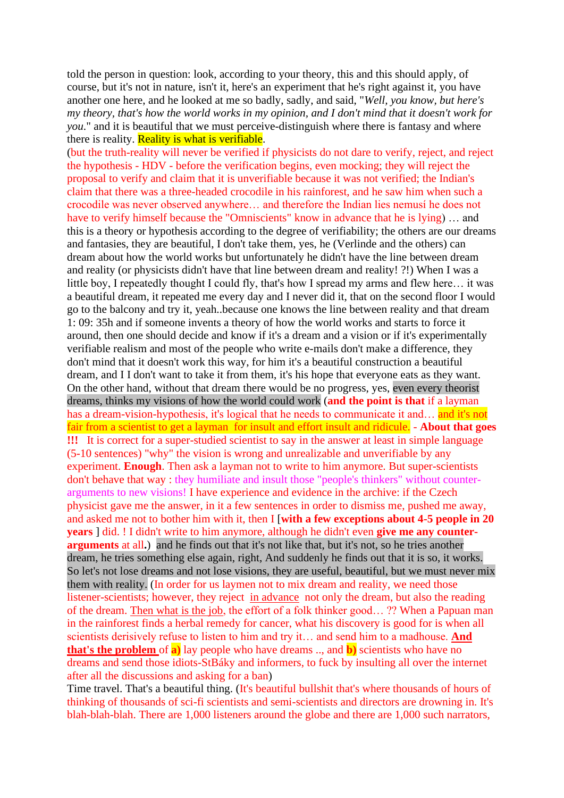told the person in question: look, according to your theory, this and this should apply, of course, but it's not in nature, isn't it, here's an experiment that he's right against it, you have another one here, and he looked at me so badly, sadly, and said, "*Well, you know, but here's my theory, that's how the world works in my opinion, and I don't mind that it doesn't work for you*." and it is beautiful that we must perceive-distinguish where there is fantasy and where there is reality. **Reality is what is verifiable**.

(but the truth-reality will never be verified if physicists do not dare to verify, reject, and reject the hypothesis - HDV - before the verification begins, even mocking; they will reject the proposal to verify and claim that it is unverifiable because it was not verified; the Indian's claim that there was a three-headed crocodile in his rainforest, and he saw him when such a crocodile was never observed anywhere… and therefore the Indian lies nemusí he does not have to verify himself because the "Omniscients" know in advance that he is lying) … and this is a theory or hypothesis according to the degree of verifiability; the others are our dreams and fantasies, they are beautiful, I don't take them, yes, he (Verlinde and the others) can dream about how the world works but unfortunately he didn't have the line between dream and reality (or physicists didn't have that line between dream and reality! ?!) When I was a little boy, I repeatedly thought I could fly, that's how I spread my arms and flew here… it was a beautiful dream, it repeated me every day and I never did it, that on the second floor I would go to the balcony and try it, yeah..because one knows the line between reality and that dream 1: 09: 35h and if someone invents a theory of how the world works and starts to force it around, then one should decide and know if it's a dream and a vision or if it's experimentally verifiable realism and most of the people who write e-mails don't make a difference, they don't mind that it doesn't work this way, for him it's a beautiful construction a beautiful dream, and I I don't want to take it from them, it's his hope that everyone eats as they want. On the other hand, without that dream there would be no progress, yes, even every theorist dreams, thinks my visions of how the world could work (**and the point is that** if a layman has a dream-vision-hypothesis, it's logical that he needs to communicate it and… and it's not fair from a scientist to get a layman for insult and effort insult and ridicule. - **About that goes !!!** It is correct for a super-studied scientist to say in the answer at least in simple language (5-10 sentences) "why" the vision is wrong and unrealizable and unverifiable by any experiment. **Enough**. Then ask a layman not to write to him anymore. But super-scientists don't behave that way : they humiliate and insult those "people's thinkers" without counterarguments to new visions! I have experience and evidence in the archive: if the Czech physicist gave me the answer, in it a few sentences in order to dismiss me, pushed me away, and asked me not to bother him with it, then I [**with a few exceptions about 4-5 people in 20 years** ] did. ! I didn't write to him anymore, although he didn't even **give me any counterarguments** at all**.**) and he finds out that it's not like that, but it's not, so he tries another dream, he tries something else again, right, And suddenly he finds out that it is so, it works. So let's not lose dreams and not lose visions, they are useful, beautiful, but we must never mix them with reality. (In order for us laymen not to mix dream and reality, we need those listener-scientists; however, they reject in advance not only the dream, but also the reading of the dream. Then what is the job, the effort of a folk thinker good… ?? When a Papuan man in the rainforest finds a herbal remedy for cancer, what his discovery is good for is when all scientists derisively refuse to listen to him and try it… and send him to a madhouse. **And that's the problem** of **a)** lay people who have dreams .., and **b)** scientists who have no dreams and send those idiots-StBáky and informers, to fuck by insulting all over the internet after all the discussions and asking for a ban)

Time travel. That's a beautiful thing. (It's beautiful bullshit that's where thousands of hours of thinking of thousands of sci-fi scientists and semi-scientists and directors are drowning in. It's blah-blah-blah. There are 1,000 listeners around the globe and there are 1,000 such narrators,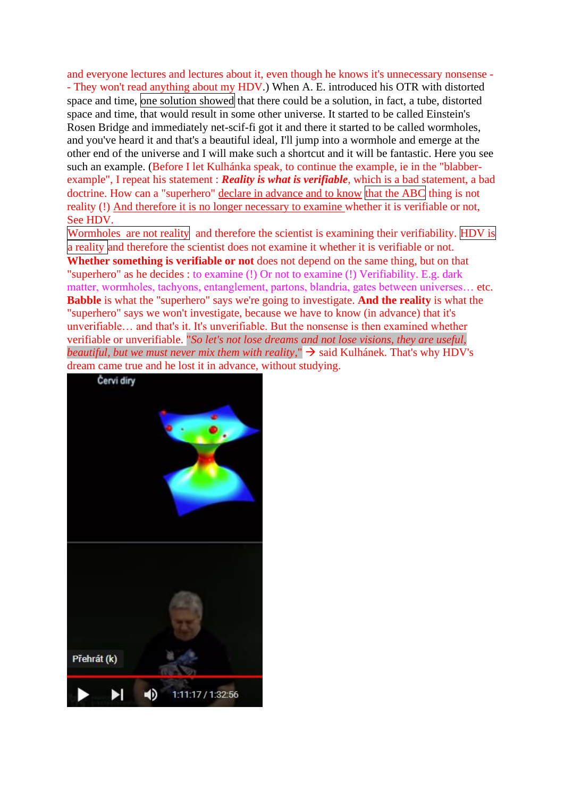and everyone lectures and lectures about it, even though he knows it's unnecessary nonsense - - They won't read anything about my HDV.) When A. E. introduced his OTR with distorted space and time, one solution showed that there could be a solution, in fact, a tube, distorted space and time, that would result in some other universe. It started to be called Einstein's Rosen Bridge and immediately net-scif-fi got it and there it started to be called wormholes, and you've heard it and that's a beautiful ideal, I'll jump into a wormhole and emerge at the other end of the universe and I will make such a shortcut and it will be fantastic. Here you see such an example. (Before I let Kulhánka speak, to continue the example, ie in the "blabberexample", I repeat his statement : *Reality is what is verifiable*, which is a bad statement, a bad doctrine. How can a "superhero" declare in advance and to know that the ABC thing is not reality (!) And therefore it is no longer necessary to examine whether it is verifiable or not, See HDV.

Wormholes are not reality and therefore the scientist is examining their verifiability. HDV is a reality and therefore the scientist does not examine it whether it is verifiable or not. **Whether something is verifiable or not** does not depend on the same thing, but on that "superhero" as he decides : to examine (!) Or not to examine (!) Verifiability. E.g. dark matter, wormholes, tachyons, entanglement, partons, blandria, gates between universes… etc. **Babble** is what the "superhero" says we're going to investigate. **And the reality** is what the "superhero" says we won't investigate, because we have to know (in advance) that it's unverifiable… and that's it. It's unverifiable. But the nonsense is then examined whether verifiable or unverifiable. "*So let's not lose dreams and not lose visions, they are useful, beautiful, but we must never mix them with reality*,"  $\rightarrow$  said Kulhánek. That's why HDV's dream came true and he lost it in advance, without studying.

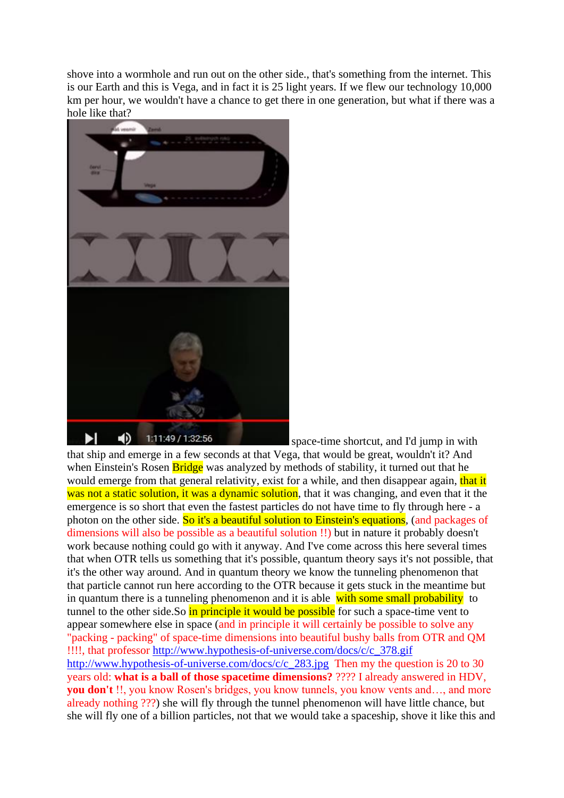shove into a wormhole and run out on the other side., that's something from the internet. This is our Earth and this is Vega, and in fact it is 25 light years. If we flew our technology 10,000 km per hour, we wouldn't have a chance to get there in one generation, but what if there was a hole like that?



space-time shortcut, and I'd jump in with

that ship and emerge in a few seconds at that Vega, that would be great, wouldn't it? And when Einstein's Rosen **Bridge** was analyzed by methods of stability, it turned out that he would emerge from that general relativity, exist for a while, and then disappear again, that it was not a static solution, it was a dynamic solution, that it was changing, and even that it the emergence is so short that even the fastest particles do not have time to fly through here - a photon on the other side. So it's a beautiful solution to Einstein's equations, (and packages of dimensions will also be possible as a beautiful solution !!) but in nature it probably doesn't work because nothing could go with it anyway. And I've come across this here several times that when OTR tells us something that it's possible, quantum theory says it's not possible, that it's the other way around. And in quantum theory we know the tunneling phenomenon that that particle cannot run here according to the OTR because it gets stuck in the meantime but in quantum there is a tunneling phenomenon and it is able with some small probability to tunnel to the other side.So in principle it would be possible for such a space-time vent to appear somewhere else in space (and in principle it will certainly be possible to solve any "packing - packing" of space-time dimensions into beautiful bushy balls from OTR and QM !!!!, that professor http://www.hypothesis-of-universe.com/docs/c/c\_378.gif [http://www.hypothesis-of-universe.com/docs/c/c\\_283.jpg](http://www.hypothesis-of-universe.com/docs/c/c_283.jpg) Then my the question is 20 to 30 years old: **what is a ball of those spacetime dimensions?** ???? I already answered in HDV, **you don't** !!, you know Rosen's bridges, you know tunnels, you know vents and…, and more already nothing ???) she will fly through the tunnel phenomenon will have little chance, but she will fly one of a billion particles, not that we would take a spaceship, shove it like this and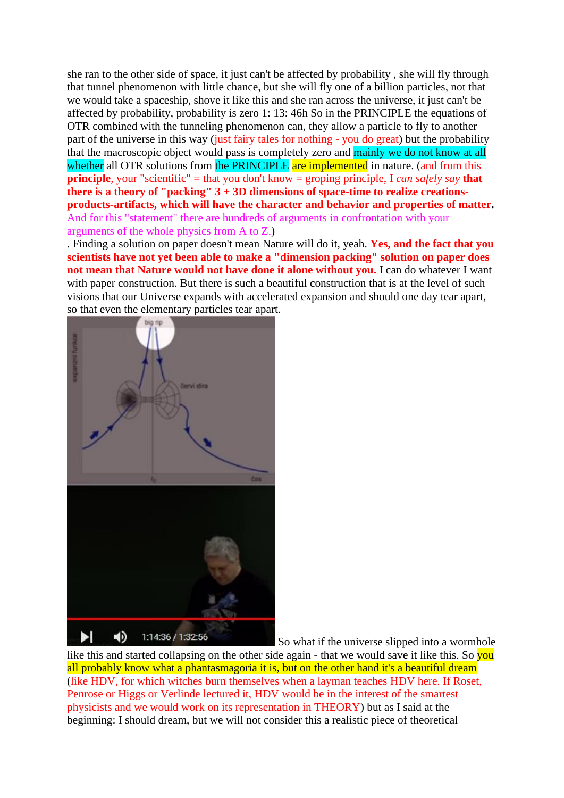she ran to the other side of space, it just can't be affected by probability , she will fly through that tunnel phenomenon with little chance, but she will fly one of a billion particles, not that we would take a spaceship, shove it like this and she ran across the universe, it just can't be affected by probability, probability is zero 1: 13: 46h So in the PRINCIPLE the equations of OTR combined with the tunneling phenomenon can, they allow a particle to fly to another part of the universe in this way (just fairy tales for nothing - you do great) but the probability that the macroscopic object would pass is completely zero and mainly we do not know at all whether all OTR solutions from the PRINCIPLE are implemented in nature. (and from this **principle**, your "scientific" = that you don't know = groping principle, I *can safely say* **that there is a theory of "packing" 3 + 3D dimensions of space-time to realize creationsproducts-artifacts, which will have the character and behavior and properties of matter.** And for this "statement" there are hundreds of arguments in confrontation with your arguments of the whole physics from A to Z.)

. Finding a solution on paper doesn't mean Nature will do it, yeah. **Yes, and the fact that you scientists have not yet been able to make a "dimension packing" solution on paper does not mean that Nature would not have done it alone without you.** I can do whatever I want with paper construction. But there is such a beautiful construction that is at the level of such visions that our Universe expands with accelerated expansion and should one day tear apart, so that even the elementary particles tear apart.



So what if the universe slipped into a wormhole

like this and started collapsing on the other side again - that we would save it like this. So you all probably know what a phantasmagoria it is, but on the other hand it's a beautiful dream (like HDV, for which witches burn themselves when a layman teaches HDV here. If Roset, Penrose or Higgs or Verlinde lectured it, HDV would be in the interest of the smartest physicists and we would work on its representation in THEORY) but as I said at the beginning: I should dream, but we will not consider this a realistic piece of theoretical